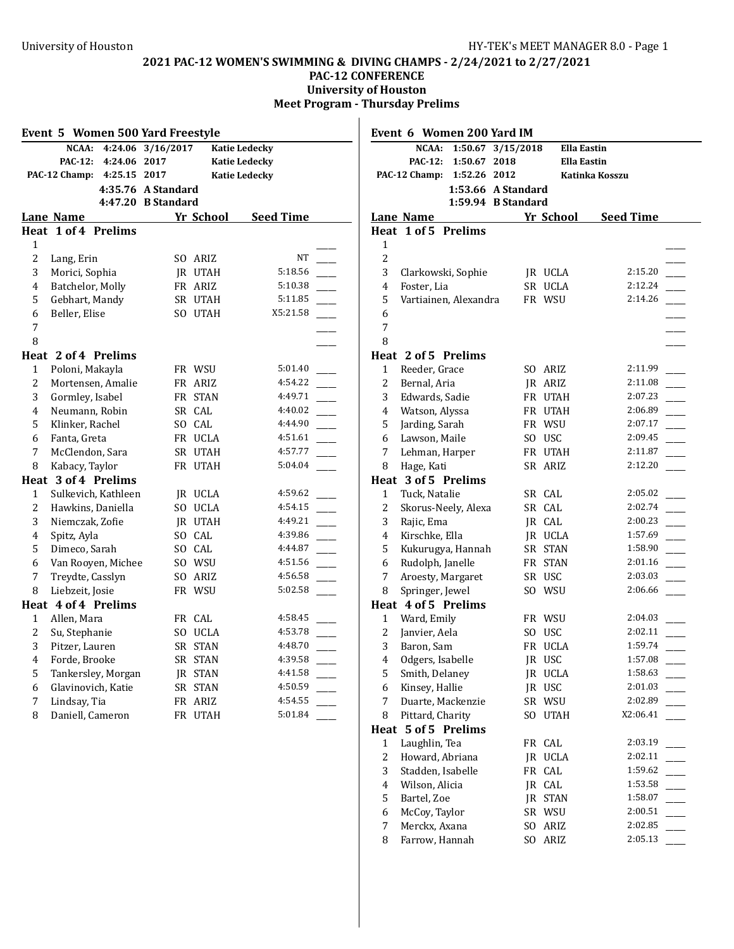## **PAC-12 WOMEN'S SWIMMING & DIVING CHAMPS - 2/24/2021 to 2/27/2021**

**PAC-12 CONFERENCE**

**University of Houston**

**Meet Program - Thursday Prelims**  $\overline{\phantom{a}}$ 

|                | Event 5 Women 500 Yard Freestyle         |                |           |                      |                |                     | Event 6 Women 200 Yard IM                |                    |                  |  |
|----------------|------------------------------------------|----------------|-----------|----------------------|----------------|---------------------|------------------------------------------|--------------------|------------------|--|
|                | NCAA: 4:24.06 3/16/2017                  |                |           | <b>Katie Ledecky</b> |                |                     | NCAA: 1:50.67 3/15/2018                  | <b>Ella Eastin</b> |                  |  |
|                | PAC-12: 4:24.06 2017                     |                |           | <b>Katie Ledecky</b> |                |                     | PAC-12: 1:50.67 2018                     | <b>Ella Eastin</b> |                  |  |
|                | PAC-12 Champ: 4:25.15 2017               |                |           | <b>Katie Ledecky</b> |                |                     | PAC-12 Champ: 1:52.26 2012               |                    | Katinka Kosszu   |  |
|                | 4:35.76 A Standard<br>4:47.20 B Standard |                |           |                      |                |                     | 1:53.66 A Standard<br>1:59.94 B Standard |                    |                  |  |
|                | Lane Name                                |                | Yr School | <b>Seed Time</b>     |                | Lane Name           |                                          | Yr School          | <b>Seed Time</b> |  |
|                | Heat 1 of 4 Prelims                      |                |           |                      |                | Heat 1 of 5 Prelims |                                          |                    |                  |  |
| $\mathbf{1}$   |                                          |                |           |                      | 1              |                     |                                          |                    |                  |  |
| $\overline{c}$ | Lang, Erin                               |                | SO ARIZ   | <b>NT</b>            | $\,2$          |                     |                                          |                    |                  |  |
| 3              | Morici, Sophia                           |                | JR UTAH   | 5:18.56              | 3              |                     | Clarkowski, Sophie                       | JR UCLA            | 2:15.20          |  |
| 4              | Batchelor, Molly                         |                | FR ARIZ   | 5:10.38              | $\overline{4}$ | Foster, Lia         |                                          | SR UCLA            | 2:12.24          |  |
| 5              | Gebhart, Mandy                           |                | SR UTAH   | 5:11.85              | 5              |                     | Vartiainen, Alexandra                    | FR WSU             | 2:14.26          |  |
| 6              | Beller, Elise                            |                | SO UTAH   | X5:21.58             | 6              |                     |                                          |                    |                  |  |
| 7              |                                          |                |           |                      | $\overline{7}$ |                     |                                          |                    |                  |  |
| 8              |                                          |                |           |                      | 8              |                     |                                          |                    |                  |  |
|                | Heat 2 of 4 Prelims                      |                |           |                      |                | Heat 2 of 5 Prelims |                                          |                    |                  |  |
| 1              | Poloni, Makayla                          |                | FR WSU    | 5:01.40              | 1              | Reeder, Grace       |                                          | SO ARIZ            | 2:11.99          |  |
| 2              | Mortensen, Amalie                        |                | FR ARIZ   | 4:54.22              | 2              | Bernal, Aria        |                                          | JR ARIZ            | 2:11.08          |  |
| 3              | Gormley, Isabel                          |                | FR STAN   | 4:49.71              | 3              | Edwards, Sadie      |                                          | FR UTAH            | 2:07.23          |  |
| 4              | Neumann, Robin                           |                | SR CAL    | 4:40.02              | 4              | Watson, Alyssa      |                                          | FR UTAH            | 2:06.89          |  |
| 5              | Klinker, Rachel                          |                | SO CAL    | 4:44.90              | 5              | Jarding, Sarah      |                                          | FR WSU             | 2:07.17          |  |
| 6              | Fanta, Greta                             |                | FR UCLA   | 4:51.61              | 6              | Lawson, Maile       |                                          | SO USC             | 2:09.45          |  |
| 7              | McClendon, Sara                          |                | SR UTAH   | 4:57.77              | 7              | Lehman, Harper      |                                          | FR UTAH            | 2:11.87          |  |
| 8              | Kabacy, Taylor                           |                | FR UTAH   | 5:04.04              | 8              | Hage, Kati          |                                          | SR ARIZ            | 2:12.20          |  |
|                | Heat 3 of 4 Prelims                      |                |           |                      |                | Heat 3 of 5 Prelims |                                          |                    |                  |  |
| 1              | Sulkevich, Kathleen                      |                | JR UCLA   | 4:59.62              | $\mathbf{1}$   | Tuck, Natalie       |                                          | SR CAL             | 2:05.02          |  |
| 2              | Hawkins, Daniella                        |                | SO UCLA   | 4:54.15              | $\overline{c}$ |                     | Skorus-Neely, Alexa                      | SR CAL             | 2:02.74          |  |
| 3              | Niemczak, Zofie                          |                | JR UTAH   | 4:49.21              | 3              | Rajic, Ema          |                                          | JR CAL             | 2:00.23          |  |
| 4              | Spitz, Ayla                              | S <sub>O</sub> | CAL       | 4:39.86              | 4              | Kirschke, Ella      |                                          | JR UCLA            | 1:57.69          |  |
| 5              | Dimeco, Sarah                            | SO.            | CAL       | 4:44.87              | 5              |                     | Kukurugya, Hannah                        | SR STAN            | 1:58.90          |  |
| 6              | Van Rooyen, Michee                       |                | SO WSU    | 4:51.56              | 6              | Rudolph, Janelle    |                                          | FR STAN            | 2:01.16          |  |
| 7              | Treydte, Casslyn                         |                | SO ARIZ   | 4:56.58              | 7              | Aroesty, Margaret   |                                          | SR USC             | 2:03.03          |  |
| 8              | Liebzeit, Josie                          |                | FR WSU    | 5:02.58              | 8              | Springer, Jewel     |                                          | SO WSU             | 2:06.66          |  |
|                | Heat 4 of 4 Prelims                      |                |           |                      |                | Heat 4 of 5 Prelims |                                          |                    |                  |  |
| 1              | Allen, Mara                              |                | FR CAL    | 4:58.45              | 1              | Ward, Emily         |                                          | FR WSU             | 2:04.03          |  |
| 2              | Su, Stephanie                            |                | SO UCLA   | 4:53.78              | $\overline{c}$ | Janvier, Aela       |                                          | SO USC             | 2:02.11          |  |
| 3              | Pitzer, Lauren                           |                | SR STAN   | 4:48.70              | 3              | Baron, Sam          |                                          | FR UCLA            | 1:59.74          |  |
| $\overline{4}$ | Forde, Brooke                            |                | SR STAN   | 4:39.58              | $\overline{4}$ | Odgers, Isabelle    |                                          | JR USC             | 1:57.08          |  |
| 5              | Tankersley, Morgan                       |                | JR STAN   | 4:41.58              | 5              | Smith, Delaney      |                                          | JR UCLA            | 1:58.63          |  |
| 6              | Glavinovich, Katie                       |                | SR STAN   | 4:50.59              | 6              | Kinsey, Hallie      |                                          | JR USC             | 2:01.03          |  |
| 7              | Lindsay, Tia                             |                | FR ARIZ   | 4:54.55              | 7              |                     | Duarte, Mackenzie                        | SR WSU             | 2:02.89          |  |
| 8              | Daniell, Cameron                         |                | FR UTAH   | 5:01.84              | 8              | Pittard, Charity    |                                          | SO UTAH            | X2:06.41         |  |
|                |                                          |                |           |                      |                | Heat 5 of 5 Prelims |                                          |                    |                  |  |
|                |                                          |                |           |                      | 1              | Laughlin, Tea       |                                          | FR CAL             | 2:03.19          |  |
|                |                                          |                |           |                      | 2              | Howard, Abriana     |                                          | JR UCLA            | 2:02.11          |  |
|                |                                          |                |           |                      | 3              | Stadden, Isabelle   |                                          | FR CAL             | 1:59.62          |  |
|                |                                          |                |           |                      | 4              | Wilson, Alicia      |                                          | JR CAL             | 1:53.58          |  |
|                |                                          |                |           |                      | 5              | Bartel, Zoe         |                                          | JR STAN            | 1:58.07          |  |
|                |                                          |                |           |                      | 6              | McCoy, Taylor       |                                          | SR WSU             | 2:00.51          |  |
|                |                                          |                |           |                      |                |                     |                                          |                    |                  |  |

 Merckx, Axana \_\_\_\_\_ SO ARIZ 2:02.85 8 Farrow, Hannah SO ARIZ